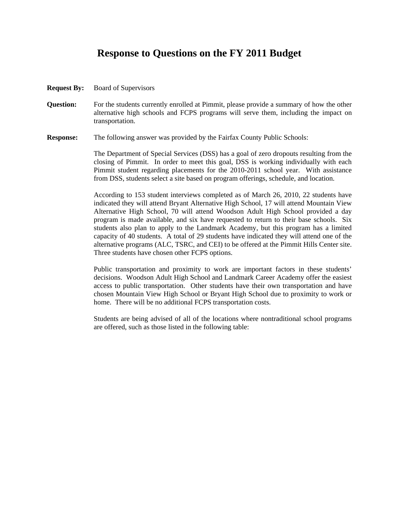## **Response to Questions on the FY 2011 Budget**

- **Request By:** Board of Supervisors
- **Question:** For the students currently enrolled at Pimmit, please provide a summary of how the other alternative high schools and FCPS programs will serve them, including the impact on transportation.
- **Response:** The following answer was provided by the Fairfax County Public Schools:

The Department of Special Services (DSS) has a goal of zero dropouts resulting from the closing of Pimmit. In order to meet this goal, DSS is working individually with each Pimmit student regarding placements for the 2010-2011 school year. With assistance from DSS, students select a site based on program offerings, schedule, and location.

According to 153 student interviews completed as of March 26, 2010, 22 students have indicated they will attend Bryant Alternative High School, 17 will attend Mountain View Alternative High School, 70 will attend Woodson Adult High School provided a day program is made available, and six have requested to return to their base schools. Six students also plan to apply to the Landmark Academy, but this program has a limited capacity of 40 students. A total of 29 students have indicated they will attend one of the alternative programs (ALC, TSRC, and CEI) to be offered at the Pimmit Hills Center site. Three students have chosen other FCPS options.

Public transportation and proximity to work are important factors in these students' decisions. Woodson Adult High School and Landmark Career Academy offer the easiest access to public transportation. Other students have their own transportation and have chosen Mountain View High School or Bryant High School due to proximity to work or home. There will be no additional FCPS transportation costs.

Students are being advised of all of the locations where nontraditional school programs are offered, such as those listed in the following table: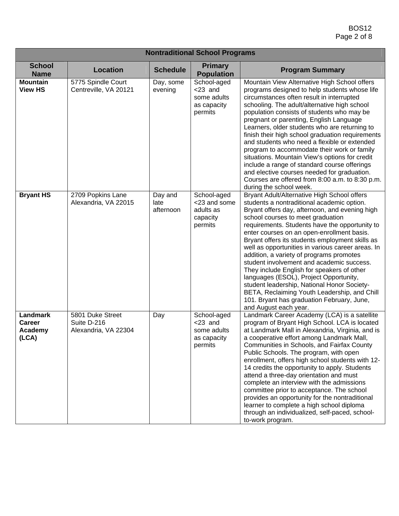| <b>Nontraditional School Programs</b>         |                                                         |                              |                                                                    |                                                                                                                                                                                                                                                                                                                                                                                                                                                                                                                                                                                                                                                                                                                                                 |  |
|-----------------------------------------------|---------------------------------------------------------|------------------------------|--------------------------------------------------------------------|-------------------------------------------------------------------------------------------------------------------------------------------------------------------------------------------------------------------------------------------------------------------------------------------------------------------------------------------------------------------------------------------------------------------------------------------------------------------------------------------------------------------------------------------------------------------------------------------------------------------------------------------------------------------------------------------------------------------------------------------------|--|
| <b>School</b><br><b>Name</b>                  | <b>Location</b>                                         | <b>Schedule</b>              | <b>Primary</b><br><b>Population</b>                                | <b>Program Summary</b>                                                                                                                                                                                                                                                                                                                                                                                                                                                                                                                                                                                                                                                                                                                          |  |
| <b>Mountain</b><br><b>View HS</b>             | 5775 Spindle Court<br>Centreville, VA 20121             | Day, some<br>evening         | School-aged<br>$<$ 23 and<br>some adults<br>as capacity<br>permits | Mountain View Alternative High School offers<br>programs designed to help students whose life<br>circumstances often result in interrupted<br>schooling. The adult/alternative high school<br>population consists of students who may be<br>pregnant or parenting, English Language<br>Learners, older students who are returning to<br>finish their high school graduation requirements<br>and students who need a flexible or extended<br>program to accommodate their work or family<br>situations. Mountain View's options for credit<br>include a range of standard course offerings<br>and elective courses needed for graduation.<br>Courses are offered from 8:00 a.m. to 8:30 p.m.<br>during the school week.                          |  |
| <b>Bryant HS</b>                              | 2709 Popkins Lane<br>Alexandria, VA 22015               | Day and<br>late<br>afternoon | School-aged<br><23 and some<br>adults as<br>capacity<br>permits    | Bryant Adult/Alternative High School offers<br>students a nontraditional academic option.<br>Bryant offers day, afternoon, and evening high<br>school courses to meet graduation<br>requirements. Students have the opportunity to<br>enter courses on an open-enrollment basis.<br>Bryant offers its students employment skills as<br>well as opportunities in various career areas. In<br>addition, a variety of programs promotes<br>student involvement and academic success.<br>They include English for speakers of other<br>languages (ESOL), Project Opportunity,<br>student leadership, National Honor Society-<br>BETA, Reclaiming Youth Leadership, and Chill<br>101. Bryant has graduation February, June,<br>and August each year. |  |
| Landmark<br><b>Career</b><br>Academy<br>(LCA) | 5801 Duke Street<br>Suite D-216<br>Alexandria, VA 22304 | Day                          | School-aged<br>$<$ 23 and<br>some adults<br>as capacity<br>permits | Landmark Career Academy (LCA) is a satellite<br>program of Bryant High School. LCA is located<br>at Landmark Mall in Alexandria, Virginia, and is<br>a cooperative effort among Landmark Mall,<br>Communities in Schools, and Fairfax County<br>Public Schools. The program, with open<br>enrollment, offers high school students with 12-<br>14 credits the opportunity to apply. Students<br>attend a three-day orientation and must<br>complete an interview with the admissions<br>committee prior to acceptance. The school<br>provides an opportunity for the nontraditional<br>learner to complete a high school diploma<br>through an individualized, self-paced, school-<br>to-work program.                                           |  |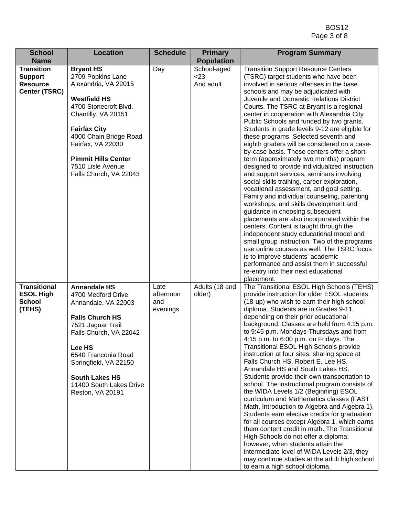| <b>School</b>                                                           | <b>Location</b>                                                                                                                                                                                                                                                                         | <b>Schedule</b>                      | <b>Primary</b>                   | <b>Program Summary</b>                                                                                                                                                                                                                                                                                                                                                                                                                                                                                                                                                                                                                                                                                                                                                                                                                                                                                                                                                                                                                                                                                                                                                                                                                                                                   |
|-------------------------------------------------------------------------|-----------------------------------------------------------------------------------------------------------------------------------------------------------------------------------------------------------------------------------------------------------------------------------------|--------------------------------------|----------------------------------|------------------------------------------------------------------------------------------------------------------------------------------------------------------------------------------------------------------------------------------------------------------------------------------------------------------------------------------------------------------------------------------------------------------------------------------------------------------------------------------------------------------------------------------------------------------------------------------------------------------------------------------------------------------------------------------------------------------------------------------------------------------------------------------------------------------------------------------------------------------------------------------------------------------------------------------------------------------------------------------------------------------------------------------------------------------------------------------------------------------------------------------------------------------------------------------------------------------------------------------------------------------------------------------|
| <b>Name</b>                                                             |                                                                                                                                                                                                                                                                                         |                                      | <b>Population</b>                |                                                                                                                                                                                                                                                                                                                                                                                                                                                                                                                                                                                                                                                                                                                                                                                                                                                                                                                                                                                                                                                                                                                                                                                                                                                                                          |
| <b>Transition</b><br><b>Support</b><br><b>Resource</b><br>Center (TSRC) | <b>Bryant HS</b><br>2709 Popkins Lane<br>Alexandria, VA 22015<br><b>Westfield HS</b><br>4700 Stonecroft Blvd.<br>Chantilly, VA 20151<br><b>Fairfax City</b><br>4000 Chain Bridge Road<br>Fairfax, VA 22030<br><b>Pimmit Hills Center</b><br>7510 Lisle Avenue<br>Falls Church, VA 22043 | Day                                  | School-aged<br>< 23<br>And adult | <b>Transition Support Resource Centers</b><br>(TSRC) target students who have been<br>involved in serious offenses in the base<br>schools and may be adjudicated with<br>Juvenile and Domestic Relations District<br>Courts. The TSRC at Bryant is a regional<br>center in cooperation with Alexandria City<br>Public Schools and funded by two grants.<br>Students in grade levels 9-12 are eligible for<br>these programs. Selected seventh and<br>eighth graders will be considered on a case-<br>by-case basis. These centers offer a short-<br>term (approximately two months) program<br>designed to provide individualized instruction<br>and support services, seminars involving<br>social skills training, career exploration,<br>vocational assessment, and goal setting.<br>Family and individual counseling, parenting<br>workshops, and skills development and<br>guidance in choosing subsequent<br>placements are also incorporated within the<br>centers. Content is taught through the<br>independent study educational model and<br>small group instruction. Two of the programs<br>use online courses as well. The TSRC focus<br>is to improve students' academic<br>performance and assist them in successful<br>re-entry into their next educational<br>placement. |
| <b>Transitional</b><br><b>ESOL High</b><br><b>School</b><br>(TEHS)      | <b>Annandale HS</b><br>4700 Medford Drive<br>Annandale, VA 22003<br><b>Falls Church HS</b><br>7521 Jaguar Trail<br>Falls Church, VA 22042<br>Lee HS<br>6540 Franconia Road<br>Springfield, VA 22150<br><b>South Lakes HS</b><br>11400 South Lakes Drive<br>Reston, VA 20191             | Late<br>afternoon<br>and<br>evenings | Adults (18 and<br>older)         | The Transitional ESOL High Schools (TEHS)<br>provide instruction for older ESOL students<br>(18-up) who wish to earn their high school<br>diploma. Students are in Grades 9-11,<br>depending on their prior educational<br>background. Classes are held from 4:15 p.m.<br>to 9:45 p.m. Mondays-Thursdays and from<br>4:15 p.m. to 6:00 p.m. on Fridays. The<br>Transitional ESOL High Schools provide<br>instruction at four sites, sharing space at<br>Falls Church HS, Robert E. Lee HS,<br>Annandale HS and South Lakes HS.<br>Students provide their own transportation to<br>school. The instructional program consists of<br>the WIDA Levels 1/2 (Beginning) ESOL<br>curriculum and Mathematics classes (FAST<br>Math, Introduction to Algebra and Algebra 1).<br>Students earn elective credits for graduation<br>for all courses except Algebra 1, which earns<br>them content credit in math. The Transitional<br>High Schools do not offer a diploma;<br>however, when students attain the<br>intermediate level of WIDA Levels 2/3, they<br>may continue studies at the adult high school<br>to earn a high school diploma.                                                                                                                                                   |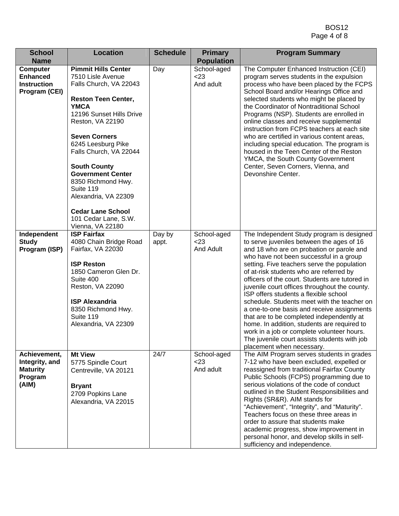| <b>School</b><br><b>Name</b>                                              | <b>Location</b>                                                                                                                                                                                                                                                                                                                                                                                                                      | <b>Schedule</b> | <b>Primary</b><br><b>Population</b> | <b>Program Summary</b>                                                                                                                                                                                                                                                                                                                                                                                                                                                                                                                                                                                                                                                                                                                   |
|---------------------------------------------------------------------------|--------------------------------------------------------------------------------------------------------------------------------------------------------------------------------------------------------------------------------------------------------------------------------------------------------------------------------------------------------------------------------------------------------------------------------------|-----------------|-------------------------------------|------------------------------------------------------------------------------------------------------------------------------------------------------------------------------------------------------------------------------------------------------------------------------------------------------------------------------------------------------------------------------------------------------------------------------------------------------------------------------------------------------------------------------------------------------------------------------------------------------------------------------------------------------------------------------------------------------------------------------------------|
| <b>Computer</b><br><b>Enhanced</b><br><b>Instruction</b><br>Program (CEI) | <b>Pimmit Hills Center</b><br>7510 Lisle Avenue<br>Falls Church, VA 22043<br><b>Reston Teen Center,</b><br><b>YMCA</b><br>12196 Sunset Hills Drive<br>Reston, VA 22190<br><b>Seven Corners</b><br>6245 Leesburg Pike<br>Falls Church, VA 22044<br><b>South County</b><br><b>Government Center</b><br>8350 Richmond Hwy.<br>Suite 119<br>Alexandria, VA 22309<br><b>Cedar Lane School</b><br>101 Cedar Lane, S.W.<br>Vienna, VA 22180 | Day             | School-aged<br>$<$ 23<br>And adult  | The Computer Enhanced Instruction (CEI)<br>program serves students in the expulsion<br>process who have been placed by the FCPS<br>School Board and/or Hearings Office and<br>selected students who might be placed by<br>the Coordinator of Nontraditional School<br>Programs (NSP). Students are enrolled in<br>online classes and receive supplemental<br>instruction from FCPS teachers at each site<br>who are certified in various content areas,<br>including special education. The program is<br>housed in the Teen Center of the Reston<br>YMCA, the South County Government<br>Center, Seven Corners, Vienna, and<br>Devonshire Center.                                                                                       |
| Independent<br><b>Study</b><br>Program (ISP)                              | <b>ISP Fairfax</b><br>4080 Chain Bridge Road<br>Fairfax, VA 22030<br><b>ISP Reston</b><br>1850 Cameron Glen Dr.<br>Suite 400<br>Reston, VA 22090<br><b>ISP Alexandria</b><br>8350 Richmond Hwy.<br>Suite 119<br>Alexandria, VA 22309                                                                                                                                                                                                 | Day by<br>appt. | School-aged<br>$<$ 23<br>And Adult  | The Independent Study program is designed<br>to serve juveniles between the ages of 16<br>and 18 who are on probation or parole and<br>who have not been successful in a group<br>setting. Five teachers serve the population<br>of at-risk students who are referred by<br>officers of the court. Students are tutored in<br>juvenile court offices throughout the county.<br>ISP offers students a flexible school<br>schedule. Students meet with the teacher on<br>a one-to-one basis and receive assignments<br>that are to be completed independently at<br>home. In addition, students are required to<br>work in a job or complete volunteer hours.<br>The juvenile court assists students with job<br>placement when necessary. |
| Achievement,<br>Integrity, and<br><b>Maturity</b><br>Program<br>(AIM)     | <b>Mt View</b><br>5775 Spindle Court<br>Centreville, VA 20121<br><b>Bryant</b><br>2709 Popkins Lane<br>Alexandria, VA 22015                                                                                                                                                                                                                                                                                                          | 24/7            | School-aged<br>$<$ 23<br>And adult  | The AIM Program serves students in grades<br>7-12 who have been excluded, expelled or<br>reassigned from traditional Fairfax County<br>Public Schools (FCPS) programming due to<br>serious violations of the code of conduct<br>outlined in the Student Responsibilities and<br>Rights (SR&R). AIM stands for<br>"Achievement", "Integrity", and "Maturity".<br>Teachers focus on these three areas in<br>order to assure that students make<br>academic progress, show improvement in<br>personal honor, and develop skills in self-<br>sufficiency and independence.                                                                                                                                                                   |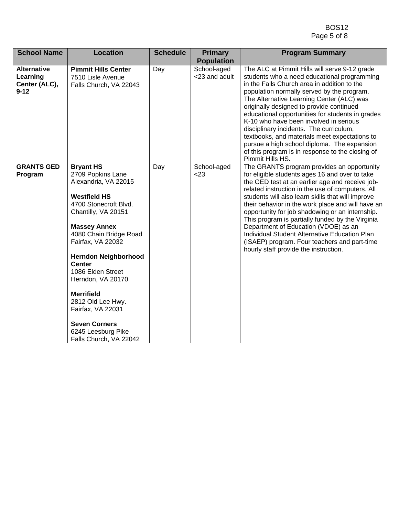| <b>School Name</b>                                          | <b>Location</b>                                                                                                                                                                                                                                                                                                                                                                                                                             | <b>Schedule</b> | <b>Primary</b><br><b>Population</b> | <b>Program Summary</b>                                                                                                                                                                                                                                                                                                                                                                                                                                                                                                                                                                                 |
|-------------------------------------------------------------|---------------------------------------------------------------------------------------------------------------------------------------------------------------------------------------------------------------------------------------------------------------------------------------------------------------------------------------------------------------------------------------------------------------------------------------------|-----------------|-------------------------------------|--------------------------------------------------------------------------------------------------------------------------------------------------------------------------------------------------------------------------------------------------------------------------------------------------------------------------------------------------------------------------------------------------------------------------------------------------------------------------------------------------------------------------------------------------------------------------------------------------------|
| <b>Alternative</b><br>Learning<br>Center (ALC),<br>$9 - 12$ | <b>Pimmit Hills Center</b><br>7510 Lisle Avenue<br>Falls Church, VA 22043                                                                                                                                                                                                                                                                                                                                                                   | Day             | School-aged<br><23 and adult        | The ALC at Pimmit Hills will serve 9-12 grade<br>students who a need educational programming<br>in the Falls Church area in addition to the<br>population normally served by the program.<br>The Alternative Learning Center (ALC) was<br>originally designed to provide continued<br>educational opportunities for students in grades<br>K-10 who have been involved in serious<br>disciplinary incidents. The curriculum,<br>textbooks, and materials meet expectations to<br>pursue a high school diploma. The expansion<br>of this program is in response to the closing of<br>Pimmit Hills HS.    |
| <b>GRANTS GED</b><br>Program                                | <b>Bryant HS</b><br>2709 Popkins Lane<br>Alexandria, VA 22015<br><b>Westfield HS</b><br>4700 Stonecroft Blvd.<br>Chantilly, VA 20151<br><b>Massey Annex</b><br>4080 Chain Bridge Road<br>Fairfax, VA 22032<br><b>Herndon Neighborhood</b><br><b>Center</b><br>1086 Elden Street<br>Herndon, VA 20170<br><b>Merrifield</b><br>2812 Old Lee Hwy.<br>Fairfax, VA 22031<br><b>Seven Corners</b><br>6245 Leesburg Pike<br>Falls Church, VA 22042 | Day             | School-aged<br>< 23                 | The GRANTS program provides an opportunity<br>for eligible students ages 16 and over to take<br>the GED test at an earlier age and receive job-<br>related instruction in the use of computers. All<br>students will also learn skills that will improve<br>their behavior in the work place and will have an<br>opportunity for job shadowing or an internship.<br>This program is partially funded by the Virginia<br>Department of Education (VDOE) as an<br>Individual Student Alternative Education Plan<br>(ISAEP) program. Four teachers and part-time<br>hourly staff provide the instruction. |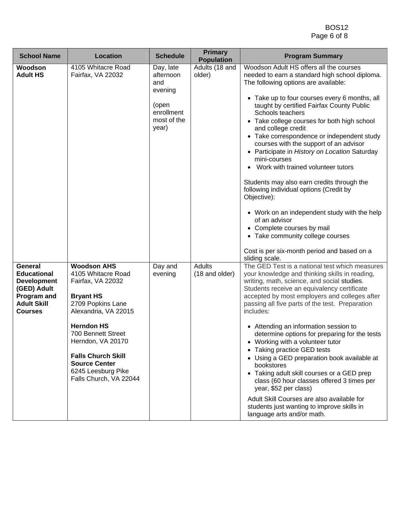| <b>School Name</b>                                                                                                        | <b>Location</b>                                                                                                                                                                                                                                                                                     | <b>Schedule</b>                                                                         | <b>Primary</b><br><b>Population</b> | <b>Program Summary</b>                                                                                                                                                                                                                                                                                                                                                                                                                                                                                                                                                                                                                                                                                                                                                                                                              |
|---------------------------------------------------------------------------------------------------------------------------|-----------------------------------------------------------------------------------------------------------------------------------------------------------------------------------------------------------------------------------------------------------------------------------------------------|-----------------------------------------------------------------------------------------|-------------------------------------|-------------------------------------------------------------------------------------------------------------------------------------------------------------------------------------------------------------------------------------------------------------------------------------------------------------------------------------------------------------------------------------------------------------------------------------------------------------------------------------------------------------------------------------------------------------------------------------------------------------------------------------------------------------------------------------------------------------------------------------------------------------------------------------------------------------------------------------|
| Woodson<br><b>Adult HS</b>                                                                                                | 4105 Whitacre Road<br>Fairfax, VA 22032                                                                                                                                                                                                                                                             | Day, late<br>afternoon<br>and<br>evening<br>(open<br>enrollment<br>most of the<br>year) | Adults (18 and<br>older)            | Woodson Adult HS offers all the courses<br>needed to earn a standard high school diploma.<br>The following options are available:<br>• Take up to four courses every 6 months, all<br>taught by certified Fairfax County Public<br>Schools teachers<br>• Take college courses for both high school<br>and college credit<br>• Take correspondence or independent study<br>courses with the support of an advisor<br>• Participate in History on Location Saturday<br>mini-courses<br>Work with trained volunteer tutors<br>Students may also earn credits through the<br>following individual options (Credit by<br>Objective):<br>• Work on an independent study with the help<br>of an advisor<br>• Complete courses by mail<br>• Take community college courses<br>Cost is per six-month period and based on a<br>sliding scale. |
| General<br><b>Educational</b><br><b>Development</b><br>(GED) Adult<br>Program and<br><b>Adult Skill</b><br><b>Courses</b> | <b>Woodson AHS</b><br>4105 Whitacre Road<br>Fairfax, VA 22032<br><b>Bryant HS</b><br>2709 Popkins Lane<br>Alexandria, VA 22015<br><b>Herndon HS</b><br>700 Bennett Street<br>Herndon, VA 20170<br><b>Falls Church Skill</b><br><b>Source Center</b><br>6245 Leesburg Pike<br>Falls Church, VA 22044 | Day and<br>evening                                                                      | Adults<br>(18 and older)            | The GED Test is a national test which measures<br>your knowledge and thinking skills in reading,<br>writing, math, science, and social studies.<br>Students receive an equivalency certificate<br>accepted by most employers and colleges after<br>passing all five parts of the test. Preparation<br>includes:<br>• Attending an information session to<br>determine options for preparing for the tests<br>• Working with a volunteer tutor<br>• Taking practice GED tests<br>• Using a GED preparation book available at<br>bookstores<br>• Taking adult skill courses or a GED prep<br>class (60 hour classes offered 3 times per<br>year, \$52 per class)<br>Adult Skill Courses are also available for<br>students just wanting to improve skills in<br>language arts and/or math.                                            |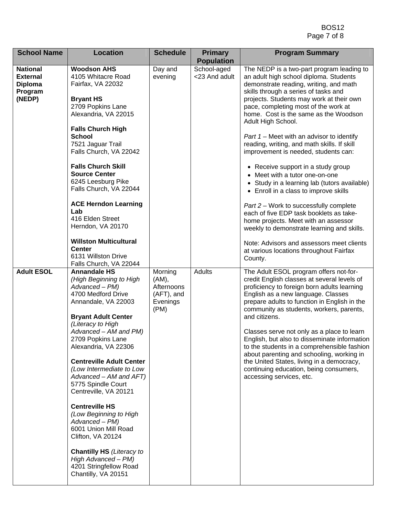| <b>School Name</b>                                                        | <b>Location</b>                                                                                                                                                                                                                                                                                                                                                                                                                                                                                                                                                                                                   | <b>Schedule</b>                                                  | <b>Primary</b>                                    | <b>Program Summary</b>                                                                                                                                                                                                                                                                                                                                                                                                                                                                                                                                                                                                                                                                                                                                                                                     |
|---------------------------------------------------------------------------|-------------------------------------------------------------------------------------------------------------------------------------------------------------------------------------------------------------------------------------------------------------------------------------------------------------------------------------------------------------------------------------------------------------------------------------------------------------------------------------------------------------------------------------------------------------------------------------------------------------------|------------------------------------------------------------------|---------------------------------------------------|------------------------------------------------------------------------------------------------------------------------------------------------------------------------------------------------------------------------------------------------------------------------------------------------------------------------------------------------------------------------------------------------------------------------------------------------------------------------------------------------------------------------------------------------------------------------------------------------------------------------------------------------------------------------------------------------------------------------------------------------------------------------------------------------------------|
|                                                                           |                                                                                                                                                                                                                                                                                                                                                                                                                                                                                                                                                                                                                   |                                                                  |                                                   |                                                                                                                                                                                                                                                                                                                                                                                                                                                                                                                                                                                                                                                                                                                                                                                                            |
| <b>National</b><br><b>External</b><br><b>Diploma</b><br>Program<br>(NEDP) | <b>Woodson AHS</b><br>4105 Whitacre Road<br>Fairfax, VA 22032<br><b>Bryant HS</b><br>2709 Popkins Lane<br>Alexandria, VA 22015<br><b>Falls Church High</b><br><b>School</b><br>7521 Jaguar Trail<br>Falls Church, VA 22042<br><b>Falls Church Skill</b><br><b>Source Center</b><br>6245 Leesburg Pike<br>Falls Church, VA 22044<br><b>ACE Herndon Learning</b><br>Lab<br>416 Elden Street<br>Herndon, VA 20170                                                                                                                                                                                                    | Day and<br>evening                                               | <b>Population</b><br>School-aged<br><23 And adult | The NEDP is a two-part program leading to<br>an adult high school diploma. Students<br>demonstrate reading, writing, and math<br>skills through a series of tasks and<br>projects. Students may work at their own<br>pace, completing most of the work at<br>home. Cost is the same as the Woodson<br>Adult High School.<br>Part $1$ – Meet with an advisor to identify<br>reading, writing, and math skills. If skill<br>improvement is needed, students can:<br>• Receive support in a study group<br>• Meet with a tutor one-on-one<br>• Study in a learning lab (tutors available)<br>• Enroll in a class to improve skills<br>Part 2 – Work to successfully complete<br>each of five EDP task booklets as take-<br>home projects. Meet with an assessor<br>weekly to demonstrate learning and skills. |
|                                                                           | <b>Willston Multicultural</b><br><b>Center</b><br>6131 Willston Drive<br>Falls Church, VA 22044                                                                                                                                                                                                                                                                                                                                                                                                                                                                                                                   |                                                                  |                                                   | Note: Advisors and assessors meet clients<br>at various locations throughout Fairfax<br>County.                                                                                                                                                                                                                                                                                                                                                                                                                                                                                                                                                                                                                                                                                                            |
| <b>Adult ESOL</b>                                                         | <b>Annandale HS</b><br>(High Beginning to High<br>Advanced - PM)<br>4700 Medford Drive<br>Annandale, VA 22003<br><b>Bryant Adult Center</b><br>(Literacy to High<br>Advanced - AM and PM)<br>2709 Popkins Lane<br>Alexandria, VA 22306<br><b>Centreville Adult Center</b><br>(Low Intermediate to Low<br>$Advanced - AM$ and $AFT$ )<br>5775 Spindle Court<br>Centreville, VA 20121<br><b>Centreville HS</b><br>(Low Beginning to High<br>Advanced - PM)<br>6001 Union Mill Road<br>Clifton, VA 20124<br><b>Chantilly HS</b> (Literacy to<br>High Advanced - PM)<br>4201 Stringfellow Road<br>Chantilly, VA 20151 | Morning<br>(AM),<br>Afternoons<br>(AFT), and<br>Evenings<br>(PM) | Adults                                            | The Adult ESOL program offers not-for-<br>credit English classes at several levels of<br>proficiency to foreign born adults learning<br>English as a new language. Classes<br>prepare adults to function in English in the<br>community as students, workers, parents,<br>and citizens.<br>Classes serve not only as a place to learn<br>English, but also to disseminate information<br>to the students in a comprehensible fashion<br>about parenting and schooling, working in<br>the United States, living in a democracy,<br>continuing education, being consumers,<br>accessing services, etc.                                                                                                                                                                                                       |